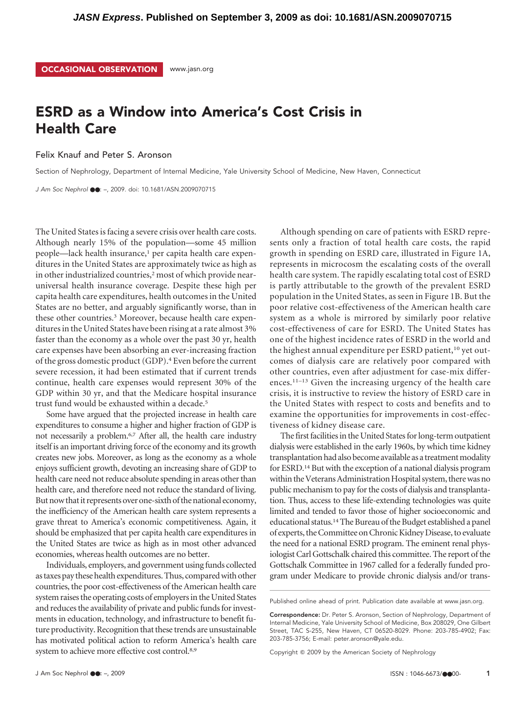**OCCASIONAL OBSERVATION** www.jasn.org

## ESRD as a Window into America's Cost Crisis in Health Care

Felix Knauf and Peter S. Aronson

Section of Nephrology, Department of Internal Medicine, Yale University School of Medicine, New Haven, Connecticut

*J Am Soc Nephrol* ●●: –, 2009. doi: 10.1681/ASN.2009070715

The United States is facing a severe crisis over health care costs. Although nearly 15% of the population—some 45 million people—lack health insurance,<sup>1</sup> per capita health care expenditures in the United States are approximately twice as high as in other industrialized countries,<sup>2</sup> most of which provide nearuniversal health insurance coverage. Despite these high per capita health care expenditures, health outcomes in the United States are no better, and arguably significantly worse, than in these other countries.3 Moreover, because health care expenditures in the United States have been rising at a rate almost 3% faster than the economy as a whole over the past 30 yr, health care expenses have been absorbing an ever-increasing fraction of the gross domestic product (GDP).4 Even before the current severe recession, it had been estimated that if current trends continue, health care expenses would represent 30% of the GDP within 30 yr, and that the Medicare hospital insurance trust fund would be exhausted within a decade.<sup>5</sup>

Some have argued that the projected increase in health care expenditures to consume a higher and higher fraction of GDP is not necessarily a problem.6,7 After all, the health care industry itself is an important driving force of the economy and its growth creates new jobs. Moreover, as long as the economy as a whole enjoys sufficient growth, devoting an increasing share of GDP to health care need not reduce absolute spending in areas other than health care, and therefore need not reduce the standard of living. But now that it represents over one-sixth of the national economy, the inefficiency of the American health care system represents a grave threat to America's economic competitiveness. Again, it should be emphasized that per capita health care expenditures in the United States are twice as high as in most other advanced economies, whereas health outcomes are no better.

Individuals, employers, and government using funds collected as taxes pay these health expenditures. Thus, comparedwith other countries, the poor cost-effectiveness of the American health care system raises the operating costs of employers in the United States and reduces the availability of private and public funds for investments in education, technology, and infrastructure to benefit future productivity. Recognition that these trends are unsustainable has motivated political action to reform America's health care system to achieve more effective cost control.<sup>8,9</sup>

Although spending on care of patients with ESRD represents only a fraction of total health care costs, the rapid growth in spending on ESRD care, illustrated in Figure 1A, represents in microcosm the escalating costs of the overall health care system. The rapidly escalating total cost of ESRD is partly attributable to the growth of the prevalent ESRD population in the United States, as seen in Figure 1B. But the poor relative cost-effectiveness of the American health care system as a whole is mirrored by similarly poor relative cost-effectiveness of care for ESRD. The United States has one of the highest incidence rates of ESRD in the world and the highest annual expenditure per ESRD patient,<sup>10</sup> yet outcomes of dialysis care are relatively poor compared with other countries, even after adjustment for case-mix differences.11–13 Given the increasing urgency of the health care crisis, it is instructive to review the history of ESRD care in the United States with respect to costs and benefits and to examine the opportunities for improvements in cost-effectiveness of kidney disease care.

The first facilities in the United States for long-term outpatient dialysis were established in the early 1960s, by which time kidney transplantation had also become available as a treatment modality for ESRD.14 But with the exception of a national dialysis program within the Veterans Administration Hospital system, there was no public mechanism to pay for the costs of dialysis and transplantation. Thus, access to these life-extending technologies was quite limited and tended to favor those of higher socioeconomic and educational status.14The Bureau of the Budget established a panel of experts, the Committee on Chronic Kidney Disease, to evaluate the need for a national ESRD program. The eminent renal physiologist Carl Gottschalk chaired this committee. The report of the Gottschalk Committee in 1967 called for a federally funded program under Medicare to provide chronic dialysis and/or trans-

Published online ahead of print. Publication date available at www.jasn.org.

Correspondence: Dr. Peter S. Aronson, Section of Nephrology, Department of Internal Medicine, Yale University School of Medicine, Box 208029, One Gilbert Street, TAC S-255, New Haven, CT 06520-8029. Phone: 203-785-4902; Fax: 203-785-3756; E-mail: peter.aronson@yale.edu.

Copyright © 2009 by the American Society of Nephrology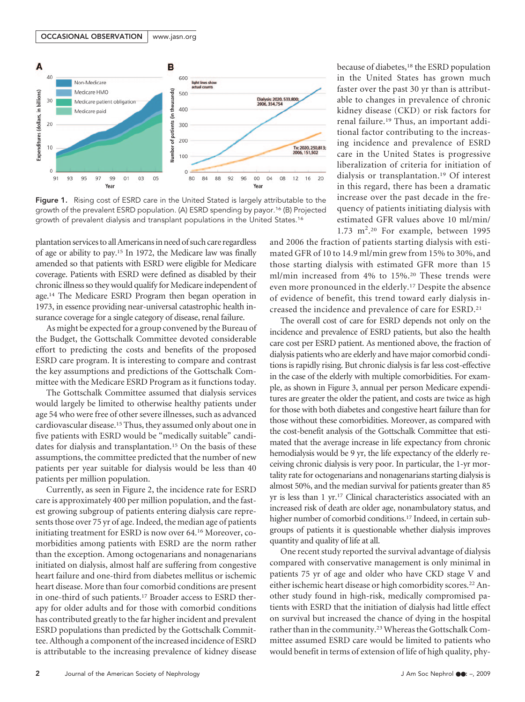

Figure 1. Rising cost of ESRD care in the United Stated is largely attributable to the growth of the prevalent ESRD population. (A) ESRD spending by payor.16 (B) Projected growth of prevalent dialysis and transplant populations in the United States.16

plantation services to all Americansin need of such care regardless of age or ability to pay.15 In 1972, the Medicare law was finally amended so that patients with ESRD were eligible for Medicare coverage. Patients with ESRD were defined as disabled by their chronic illness so they would qualify for Medicare independent of age.14 The Medicare ESRD Program then began operation in 1973, in essence providing near-universal catastrophic health insurance coverage for a single category of disease, renal failure.

As might be expected for a group convened by the Bureau of the Budget, the Gottschalk Committee devoted considerable effort to predicting the costs and benefits of the proposed ESRD care program. It is interesting to compare and contrast the key assumptions and predictions of the Gottschalk Committee with the Medicare ESRD Program as it functions today.

The Gottschalk Committee assumed that dialysis services would largely be limited to otherwise healthy patients under age 54 who were free of other severe illnesses, such as advanced cardiovascular disease.15Thus, they assumed only about one in five patients with ESRD would be "medically suitable" candidates for dialysis and transplantation.<sup>15</sup> On the basis of these assumptions, the committee predicted that the number of new patients per year suitable for dialysis would be less than 40 patients per million population.

Currently, as seen in Figure 2, the incidence rate for ESRD care is approximately 400 per million population, and the fastest growing subgroup of patients entering dialysis care represents those over 75 yr of age. Indeed, the median age of patients initiating treatment for ESRD is now over 64.16 Moreover, comorbidities among patients with ESRD are the norm rather than the exception. Among octogenarians and nonagenarians initiated on dialysis, almost half are suffering from congestive heart failure and one-third from diabetes mellitus or ischemic heart disease. More than four comorbid conditions are present in one-third of such patients.17 Broader access to ESRD therapy for older adults and for those with comorbid conditions has contributed greatly to the far higher incident and prevalent ESRD populations than predicted by the Gottschalk Committee. Although a component of the increased incidence of ESRD is attributable to the increasing prevalence of kidney disease because of diabetes,<sup>18</sup> the ESRD population in the United States has grown much faster over the past 30 yr than is attributable to changes in prevalence of chronic kidney disease (CKD) or risk factors for renal failure.19 Thus, an important additional factor contributing to the increasing incidence and prevalence of ESRD care in the United States is progressive liberalization of criteria for initiation of dialysis or transplantation.19 Of interest in this regard, there has been a dramatic increase over the past decade in the frequency of patients initiating dialysis with estimated GFR values above 10 ml/min/ 1.73 m<sup>2</sup>.<sup>20</sup> For example, between 1995

and 2006 the fraction of patients starting dialysis with estimated GFR of 10 to 14.9 ml/min grew from 15% to 30%, and those starting dialysis with estimated GFR more than 15 ml/min increased from 4% to 15%.20 These trends were even more pronounced in the elderly.17 Despite the absence of evidence of benefit, this trend toward early dialysis increased the incidence and prevalence of care for ESRD.21

The overall cost of care for ESRD depends not only on the incidence and prevalence of ESRD patients, but also the health care cost per ESRD patient. As mentioned above, the fraction of dialysis patients who are elderly and have major comorbid conditions is rapidly rising. But chronic dialysis is far less cost-effective in the case of the elderly with multiple comorbidities. For example, as shown in Figure 3, annual per person Medicare expenditures are greater the older the patient, and costs are twice as high for those with both diabetes and congestive heart failure than for those without these comorbidities. Moreover, as compared with the cost-benefit analysis of the Gottschalk Committee that estimated that the average increase in life expectancy from chronic hemodialysis would be 9 yr, the life expectancy of the elderly receiving chronic dialysis is very poor. In particular, the 1-yr mortality rate for octogenarians and nonagenarians starting dialysis is almost 50%, and the median survival for patients greater than 85 yr is less than 1 yr.17 Clinical characteristics associated with an increased risk of death are older age, nonambulatory status, and higher number of comorbid conditions.<sup>17</sup> Indeed, in certain subgroups of patients it is questionable whether dialysis improves quantity and quality of life at all.

One recent study reported the survival advantage of dialysis compared with conservative management is only minimal in patients 75 yr of age and older who have CKD stage V and either ischemic heart disease or high comorbidity scores.<sup>22</sup> Another study found in high-risk, medically compromised patients with ESRD that the initiation of dialysis had little effect on survival but increased the chance of dying in the hospital rather than in the community.23Whereas the Gottschalk Committee assumed ESRD care would be limited to patients who would benefit in terms of extension of life of high quality, phy-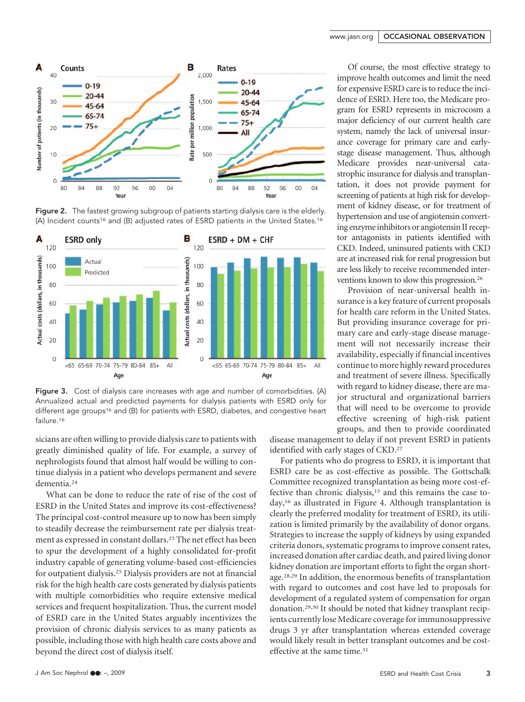

Figure 2. The fastest growing subgroup of patients starting dialysis care is the elderly. (A) Incident counts<sup>16</sup> and (B) adjusted rates of ESRD patients in the United States.<sup>16</sup>



Figure 3. Cost of dialysis care increases with age and number of comorbidities. (A) Annualized actual and predicted payments for dialysis patients with ESRD only for different age groups<sup>16</sup> and (B) for patients with ESRD, diabetes, and congestive heart failure.16

sicians are often willing to provide dialysis care to patients with greatly diminished quality of life. For example, a survey of nephrologists found that almost half would be willing to continue dialysis in a patient who develops permanent and severe dementia.24

What can be done to reduce the rate of rise of the cost of ESRD in the United States and improve its cost-effectiveness? The principal cost-control measure up to now has been simply to steadily decrease the reimbursement rate per dialysis treatment as expressed in constant dollars.25 The net effect has been to spur the development of a highly consolidated for-profit industry capable of generating volume-based cost-efficiencies for outpatient dialysis.25 Dialysis providers are not at financial risk for the high health care costs generated by dialysis patients with multiple comorbidities who require extensive medical services and frequent hospitalization. Thus, the current model of ESRD care in the United States arguably incentivizes the provision of chronic dialysis services to as many patients as possible, including those with high health care costs above and beyond the direct cost of dialysis itself.

Of course, the most effective strategy to improve health outcomes and limit the need for expensive ESRD care is to reduce the incidence of ESRD. Here too, the Medicare program for ESRD represents in microcosm a major deficiency of our current health care system, namely the lack of universal insurance coverage for primary care and earlystage disease management. Thus, although Medicare provides near-universal catastrophic insurance for dialysis and transplantation, it does not provide payment for screening of patients at high risk for development of kidney disease, or for treatment of hypertension and use of angiotensin converting enzyme inhibitors or angiotensin II receptor antagonists in patients identified with CKD. Indeed, uninsured patients with CKD are at increased risk for renal progression but are less likely to receive recommended interventions known to slow this progression.26

Provision of near-universal health insurance is a key feature of current proposals for health care reform in the United States. But providing insurance coverage for primary care and early-stage disease management will not necessarily increase their availability, especially if financial incentives continue to more highly reward procedures and treatment of severe illness. Specifically with regard to kidney disease, there are major structural and organizational barriers that will need to be overcome to provide effective screening of high-risk patient groups, and then to provide coordinated

disease management to delay if not prevent ESRD in patients identified with early stages of CKD.27

For patients who do progress to ESRD, it is important that ESRD care be as cost-effective as possible. The Gottschalk Committee recognized transplantation as being more cost-effective than chronic dialysis,<sup>15</sup> and this remains the case today,16 as illustrated in Figure 4. Although transplantation is clearly the preferred modality for treatment of ESRD, its utilization is limited primarily by the availability of donor organs. Strategies to increase the supply of kidneys by using expanded criteria donors, systematic programs to improve consent rates, increased donation after cardiac death, and paired living donor kidney donation are important efforts to fight the organ shortage.28,29 In addition, the enormous benefits of transplantation with regard to outcomes and cost have led to proposals for development of a regulated system of compensation for organ donation.29,30 It should be noted that kidney transplant recipients currently lose Medicare coverage for immunosuppressive drugs 3 yr after transplantation whereas extended coverage would likely result in better transplant outcomes and be costeffective at the same time.<sup>31</sup>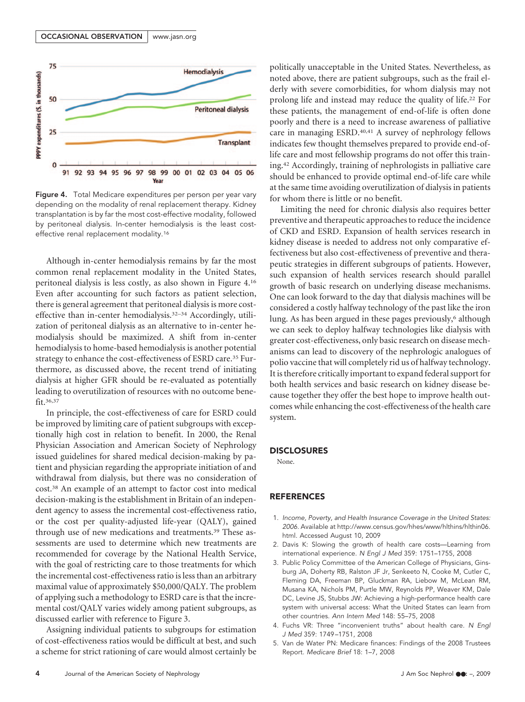

Figure 4. Total Medicare expenditures per person per year vary depending on the modality of renal replacement therapy. Kidney transplantation is by far the most cost-effective modality, followed by peritoneal dialysis. In-center hemodialysis is the least costeffective renal replacement modality.16

Although in-center hemodialysis remains by far the most common renal replacement modality in the United States, peritoneal dialysis is less costly, as also shown in Figure 4.16 Even after accounting for such factors as patient selection, there is general agreement that peritoneal dialysis is more costeffective than in-center hemodialysis.32–34 Accordingly, utilization of peritoneal dialysis as an alternative to in-center hemodialysis should be maximized. A shift from in-center hemodialysis to home-based hemodialysis is another potential strategy to enhance the cost-effectiveness of ESRD care.35 Furthermore, as discussed above, the recent trend of initiating dialysis at higher GFR should be re-evaluated as potentially leading to overutilization of resources with no outcome benefit.36,37

In principle, the cost-effectiveness of care for ESRD could be improved by limiting care of patient subgroups with exceptionally high cost in relation to benefit. In 2000, the Renal Physician Association and American Society of Nephrology issued guidelines for shared medical decision-making by patient and physician regarding the appropriate initiation of and withdrawal from dialysis, but there was no consideration of cost.38 An example of an attempt to factor cost into medical decision-making is the establishment in Britain of an independent agency to assess the incremental cost-effectiveness ratio, or the cost per quality-adjusted life-year (QALY), gained through use of new medications and treatments.<sup>39</sup> These assessments are used to determine which new treatments are recommended for coverage by the National Health Service, with the goal of restricting care to those treatments for which the incremental cost-effectiveness ratio is less than an arbitrary maximal value of approximately \$50,000/QALY. The problem of applying such a methodology to ESRD care is that the incremental cost/QALY varies widely among patient subgroups, as discussed earlier with reference to Figure 3.

Assigning individual patients to subgroups for estimation of cost-effectiveness ratios would be difficult at best, and such a scheme for strict rationing of care would almost certainly be politically unacceptable in the United States. Nevertheless, as noted above, there are patient subgroups, such as the frail elderly with severe comorbidities, for whom dialysis may not prolong life and instead may reduce the quality of life.22 For these patients, the management of end-of-life is often done poorly and there is a need to increase awareness of palliative care in managing ESRD.40,41 A survey of nephrology fellows indicates few thought themselves prepared to provide end-oflife care and most fellowship programs do not offer this training.42 Accordingly, training of nephrologists in palliative care should be enhanced to provide optimal end-of-life care while at the same time avoiding overutilization of dialysis in patients for whom there is little or no benefit.

Limiting the need for chronic dialysis also requires better preventive and therapeutic approaches to reduce the incidence of CKD and ESRD. Expansion of health services research in kidney disease is needed to address not only comparative effectiveness but also cost-effectiveness of preventive and therapeutic strategies in different subgroups of patients. However, such expansion of health services research should parallel growth of basic research on underlying disease mechanisms. One can look forward to the day that dialysis machines will be considered a costly halfway technology of the past like the iron lung. As has been argued in these pages previously,<sup>6</sup> although we can seek to deploy halfway technologies like dialysis with greater cost-effectiveness, only basic research on disease mechanisms can lead to discovery of the nephrologic analogues of polio vaccine that will completely rid us of halfway technology. It is therefore critically important to expand federal support for both health services and basic research on kidney disease because together they offer the best hope to improve health outcomes while enhancing the cost-effectiveness of the health care system.

## **DISCLOSURES**

None.

## **REFERENCES**

- 1. *Income, Poverty, and Health Insurance Coverage in the United States: 2006.* Available at http://www.census.gov/hhes/www/hlthins/hlthin06. html. Accessed August 10, 2009
- 2. Davis K: Slowing the growth of health care costs—Learning from international experience. *N Engl J Med* 359: 1751–1755, 2008
- 3. Public Policy Committee of the American College of Physicians, Ginsburg JA, Doherty RB, Ralston JF Jr, Senkeeto N, Cooke M, Cutler C, Fleming DA, Freeman BP, Gluckman RA, Liebow M, McLean RM, Musana KA, Nichols PM, Purtle MW, Reynolds PP, Weaver KM, Dale DC, Levine JS, Stubbs JW: Achieving a high-performance health care system with universal access: What the United States can learn from other countries. *Ann Intern Med* 148: 55–75, 2008
- 4. Fuchs VR: Three "inconvenient truths" about health care. *N Engl J Med* 359: 1749 –1751, 2008
- 5. Van de Water PN: Medicare finances: Findings of the 2008 Trustees Report. *Medicare Brief* 18: 1–7, 2008